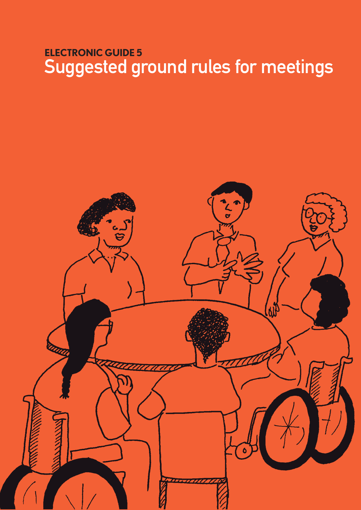## **ElEctronic GuidE 5** Suggested ground rules for meetings

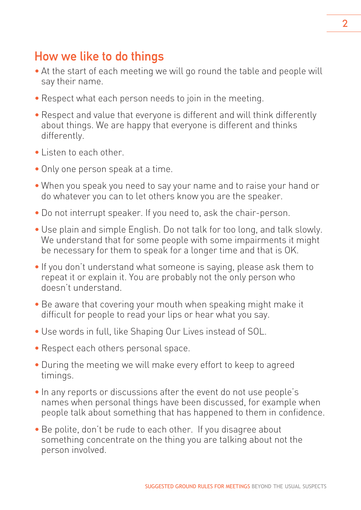## How we like to do things

- At the start of each meeting we will go round the table and people will say their name.
- Respect what each person needs to join in the meeting.
- Respect and value that everyone is different and will think differently about things. We are happy that everyone is different and thinks differently.
- Listen to each other.
- Only one person speak at a time.
- When you speak you need to say your name and to raise your hand or do whatever you can to let others know you are the speaker.
- Do not interrupt speaker. If you need to, ask the chair-person.
- Use plain and simple English. Do not talk for too long, and talk slowly. We understand that for some people with some impairments it might be necessary for them to speak for a longer time and that is OK.
- If you don't understand what someone is saying, please ask them to repeat it or explain it. You are probably not the only person who doesn't understand.
- Be aware that covering your mouth when speaking might make it difficult for people to read your lips or hear what you say.
- Use words in full, like Shaping Our Lives instead of SOL.
- Respect each others personal space.
- During the meeting we will make every effort to keep to agreed timings.
- In any reports or discussions after the event do not use people's names when personal things have been discussed, for example when people talk about something that has happened to them in confidence.
- Be polite, don't be rude to each other. If you disagree about something concentrate on the thing you are talking about not the person involved.